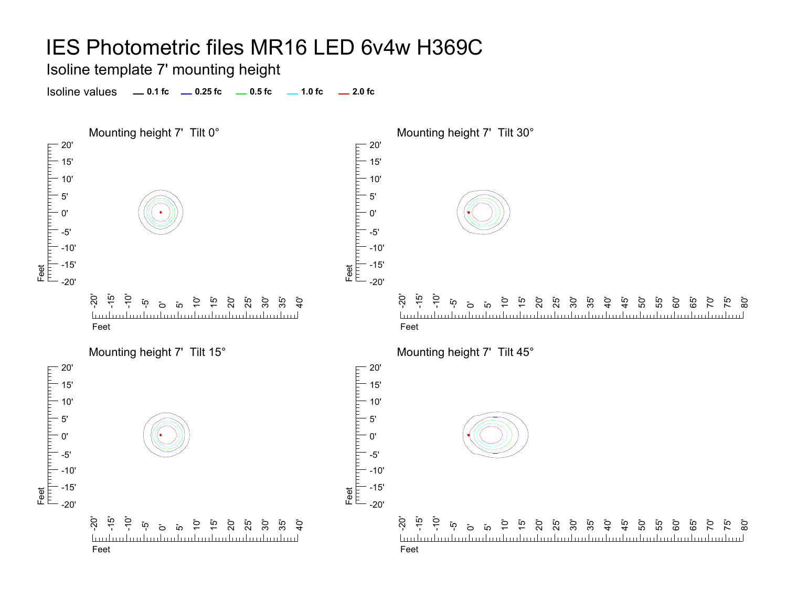Isoline template 7' mounting height

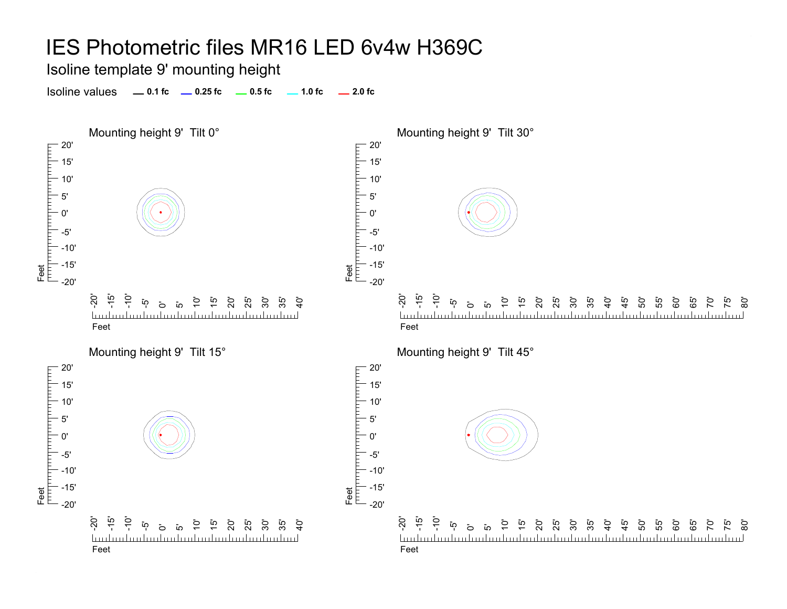Isoline template 9' mounting height

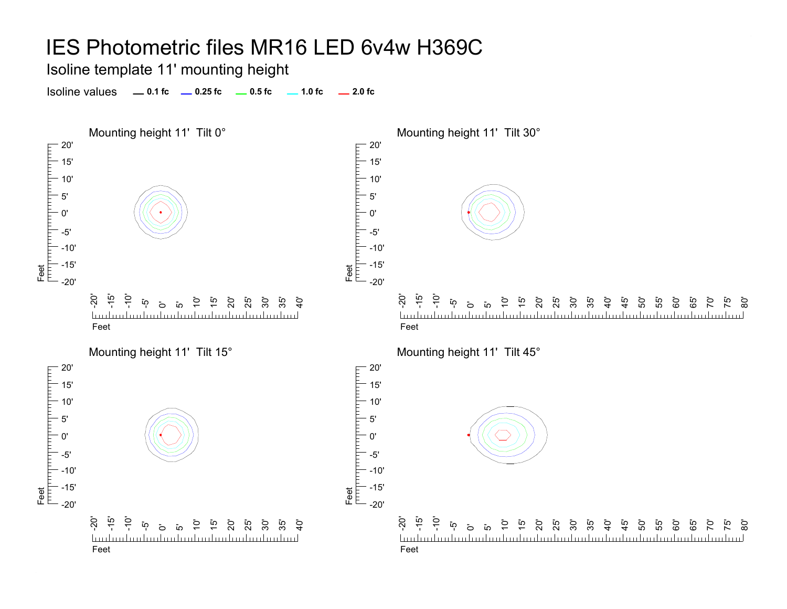Isoline template 11' mounting height

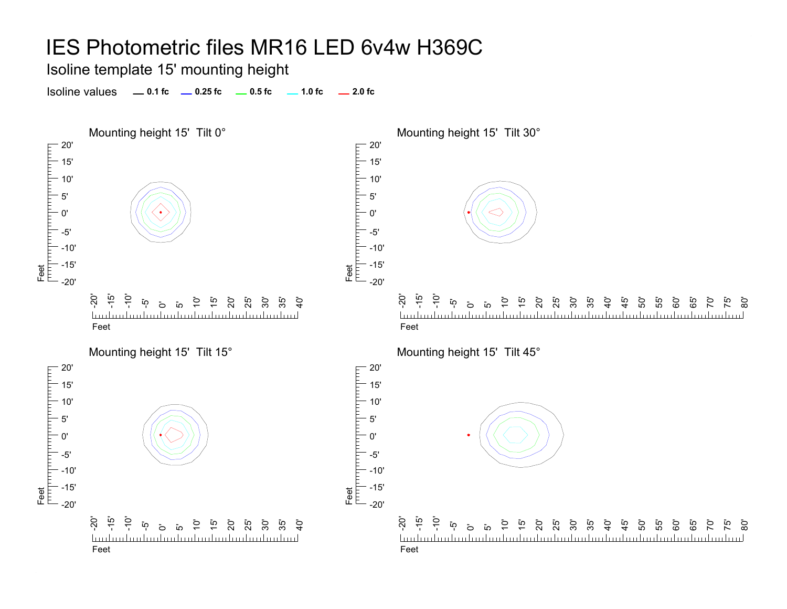Isoline template 15' mounting height

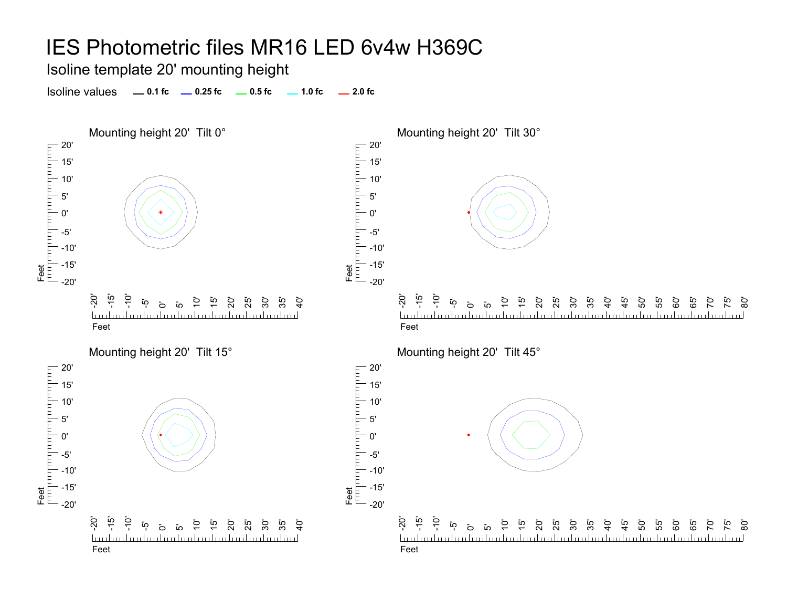Isoline template 20' mounting height

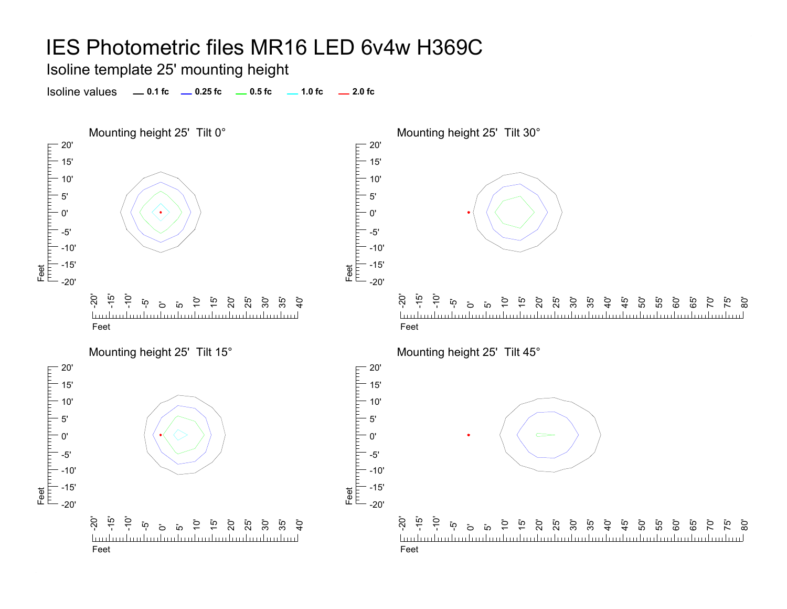Isoline template 25' mounting height